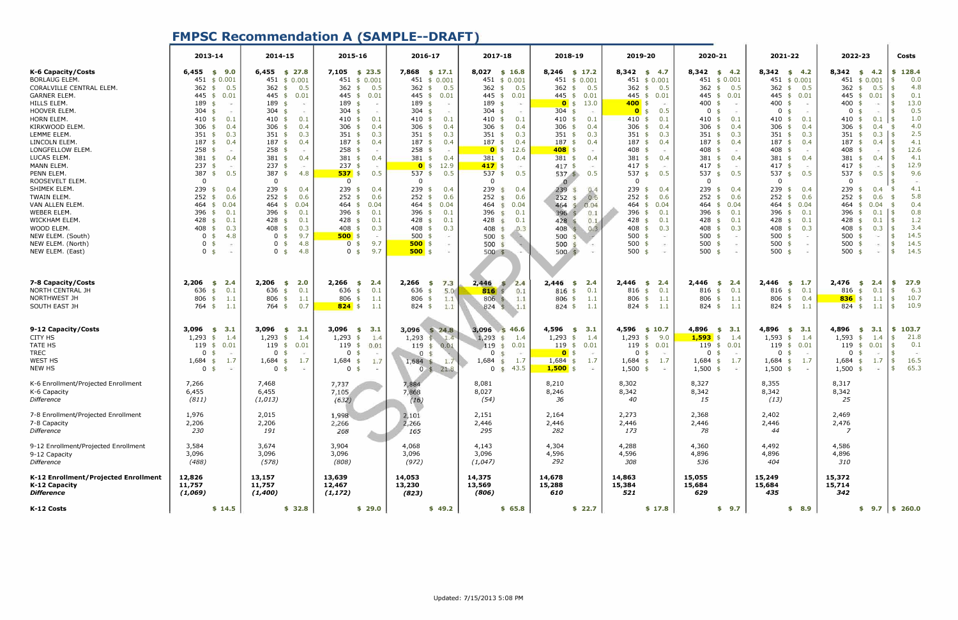### **FMPSC Recommendation A (SAMPLE--DRAFT)**

|                                                                                               | 2013-14                                                           | 2014-15                                                          | 2015-16                                                          | 2016-17                                                          | 2017-18                                                                                                             | 2018-19                                                                            | 2019-20                                                                 | 2020-21                                                                | 2021-22                                                         | 2022-23                                                                        | <b>Costs</b>                         |
|-----------------------------------------------------------------------------------------------|-------------------------------------------------------------------|------------------------------------------------------------------|------------------------------------------------------------------|------------------------------------------------------------------|---------------------------------------------------------------------------------------------------------------------|------------------------------------------------------------------------------------|-------------------------------------------------------------------------|------------------------------------------------------------------------|-----------------------------------------------------------------|--------------------------------------------------------------------------------|--------------------------------------|
| K-6 Capacity/Costs<br><b>BORLAUG ELEM.</b><br>CORALVILLE CENTRAL ELEM.<br><b>GARNER ELEM.</b> | $6,455$ \$ 9.0<br>451 \$ 0.001<br>362<br>0.5<br>\$<br>445 \$ 0.01 | $6,455$ \$ 27.8<br>451 \$ 0.001<br>362 $$$<br>0.5<br>445 \$ 0.01 | 7,105 \$ 23.5<br>451 \$ 0.001<br>362<br>0.5<br>\$<br>445 \$ 0.01 | 7,868 \$ 17.1<br>451 \$ 0.001<br>362<br>0.5<br>\$<br>445 \$ 0.01 | 8,027 \$ 16.8<br>451 \$ 0.001<br>362<br>0.5<br>$\frac{1}{2}$<br>445<br>0.01<br>\$                                   | $8,246$ \$ 17.2<br>451 \$ 0.001<br>362<br>0.5<br>$\frac{1}{2}$<br>$445$ \$<br>0.01 | $8,342 \quad $4.7$<br>451 \$ 0.001<br>362 \$<br>0.5<br>$445$ \$<br>0.01 | $8,342 \quad $4.2$<br>451 \$ 0.001<br>362 $$$<br>0.5<br>445 \$<br>0.01 | $8,342 \quad $4.2$<br>451 \$ 0.001<br>362 $$0.5$<br>445 \$ 0.01 | $8,342 \quad $4.2$<br>451 \$ 0.001<br>362<br>0.5<br>\$<br>445 \$<br>0.01       | \$128.4<br>0.0<br>4.8<br>I \$<br>0.1 |
| HILLS ELEM.<br>HOOVER ELEM                                                                    | 189 \$<br>$\sim$<br>304<br>\$<br>$\sim$                           | 189 \$<br>34<br>304<br>\$<br>in the                              | 189<br>-\$<br>n.<br>304<br>$\sim$                                | 189<br>\$<br>OW)<br>304<br>- \$<br>$\sim$                        | 189<br>- \$<br>$\sim$<br>304<br>-\$<br>$\sim$                                                                       | 13.0<br>$0 \text{ }$ \$<br>304<br>-\$<br>$\sim$                                    | $400$ \$<br>$\sim$<br>0.5<br>$0 \sqrt{3}$                               | 400 \$<br>$\sim$<br>0 <sup>5</sup><br>$\sim$                           | 400<br>\$<br>$\mathbf{0}$<br>- \$<br>$\sim$                     | 400<br>$\mathbf{\hat{A}}$<br>$\sim$<br>$\mathbf 0$<br>$\overline{\phantom{a}}$ | 13.0<br>- \$<br>0.5<br>- \$          |
| <b>HORN ELEM</b><br>KIRKWOOD ELEM.                                                            | 410<br>0.1<br>\$<br>306 \$<br>0.4                                 | 410 \$<br>0.1<br>306 $$$<br>0.4                                  | 410<br>0.1<br>\$<br>306<br>0.4<br>\$                             | 410<br>0.1<br>- \$<br>306<br>0.4<br>\$                           | 410<br>0.1<br>- \$<br>306<br>0.4<br>- \$                                                                            | 410<br>0.1<br>\$<br>306<br>0.4<br>\$                                               | $410*$<br>0.1<br>$306$ \$<br>0.4                                        | 410 $\frac{1}{2}$<br>0.1<br>$306$ \$<br>0.4                            | 410<br>0.1<br>\$<br>306<br>0.4<br>\$                            | 0.1<br>410<br>-\$<br>306<br>0.4<br>-\$                                         | 1.0<br>1.5<br>4.0                    |
| LEMME ELEM.                                                                                   | 351<br>0.3<br>\$                                                  | $351$ \$<br>0.3                                                  | 351<br>0.3<br>- \$                                               | 351<br>0.3<br>- \$                                               | 351<br>0.3<br>- \$                                                                                                  | 351<br>0.3<br>\$                                                                   | $351$ \$<br>0.3                                                         | $351$ \$<br>0.3                                                        | 351<br>0.3<br>- \$                                              | 351<br>$0.3$   \$                                                              | 2.5                                  |
| LINCOLN ELEM.<br>LONGFELLOW ELEM.                                                             | $187 \;$ \$<br>0.4<br>$258$ \$<br>ò.                              | $187 \text{ }$ \$<br>0.4<br>$258$ \$<br>in.                      | 187<br>0.4<br>\$<br>258<br>-\$<br>$\sim$                         | 187<br>0.4<br>\$<br>258<br>- \$<br>J.                            | 187<br>0.4<br>- \$<br>12.6<br>$\bullet$ \$                                                                          | 187<br>0.4<br>- \$<br>$408$ \$<br>$\sim$                                           | $187$ \$<br>0.4<br>408<br>- \$<br>$\sim$                                | 187<br>0.4<br>\$<br>408<br>-\$<br>$\sim$                               | 187<br>0.4<br>\$<br>408<br>- \$                                 | 187<br>0.4<br>-\$<br>408<br>C.                                                 | 4.1<br>12.6<br>- \$                  |
| LUCAS ELEM.<br>MANN ELEM.                                                                     | 381<br>0.4<br>\$<br>237<br>\$<br>$\rightarrow$                    | 381 $$$<br>0.4<br>$237$ \$<br>Card                               | 381<br>0.4<br>- \$<br>237                                        | 381<br>0.4<br>- \$<br>$0 \text{ }$ \$<br>12.9                    | 381<br>0.4<br>- \$<br>$417$ \$<br>$\rightarrow$                                                                     | 381<br>0.4<br>$\mathsf{s}$<br>417<br>o.                                            | 381<br>0.4<br>\$<br>417<br>-\$<br>$\rightarrow$                         | 381<br>0.4<br>\$<br>417<br>-\$<br>$\rightarrow$                        | 381<br>0.4<br>-\$<br>417<br>- \$                                | 381<br>0.4<br>417                                                              | 4.1<br>12.9                          |
| PENN ELEM.<br>ROOSEVELT ELEM.                                                                 | 387 \$<br>0.5<br>0                                                | 387 \$<br>4.8<br>$\mathbf 0$                                     | $537$ \$<br>0.5<br>$\overline{0}$                                | $537$ \$<br>0.5<br>$\mathbf{0}$                                  | 537<br>0.5<br>$\frac{1}{2}$<br>$\mathbf{0}$                                                                         | $537$ \$<br>0.5<br>$\Omega$                                                        | 537 \$<br>0.5<br>$\mathbf{0}$                                           | 537 $$$<br>0.5<br>$\mathbf{0}$                                         | 537<br>0.5<br>\$<br>$\Omega$                                    | 537<br>0.5<br>-\$<br>$\mathbf 0$                                               | 9.6<br>I \$                          |
| SHIMEK ELEM.                                                                                  | 239<br>0.4<br>\$                                                  | 239<br>0.4<br>\$                                                 | 239<br>0.4<br>\$                                                 | 239<br>0.4<br>\$                                                 | 239<br>0.4<br>$\mathsf{S}$                                                                                          | 239<br>0.4<br>$\overline{\mathbf{5}}$<br>0.6<br>$\frac{4}{5}$                      | 239<br>0.4<br>\$                                                        | 239<br>0.4<br>\$                                                       | 239<br>0.4<br>-\$                                               | 239<br>0.4<br>-\$                                                              | 4.1<br>5.8                           |
| TWAIN ELEM.<br>VAN ALLEN ELEM.                                                                | $252$ \$<br>0.6<br>464<br>0.04<br>\$                              | $252$ \$<br>0.6<br>464 \$<br>0.04                                | 252<br>0.6<br>\$<br>$464$ \$<br>0.04                             | $252$ \$<br>0.6<br>$464 \text{ } $$<br>0.04                      | 252<br>0.6<br>$\mathbf{s}$<br>464<br>0.04<br>\$                                                                     | 252<br>464<br>0.04<br>$\mathcal{F}$                                                | $252$ \$<br>0.6<br>464 \$<br>0.04                                       | $252$ \$<br>0.6<br>464<br>0.04<br>\$                                   | 252<br>0.6<br>\$<br>464<br>0.04<br>\$                           | 252<br>0.6<br>- \$<br>464<br>0.04<br>$\mathbf{F}$                              | - \$<br>0.4<br>- \$                  |
| <b>WEBER ELEM</b><br>WICKHAM ELEM.                                                            | 396<br>0.1<br>\$<br>428 \$<br>0.1                                 | 396<br>0.1<br>\$<br>428 \$<br>0.1                                | 396<br>0.1<br>\$<br>428<br>0.1<br>\$                             | 396<br>0.1<br>\$<br>428<br>0.1<br>\$                             | 396<br>0.1<br>$\mathbf{S}$<br>428<br>0.1<br>$\mathfrak{S}$                                                          | 396<br>0.1<br>428<br>0.1                                                           | 396 $$$<br>0.1<br>428 \$<br>0.1                                         | 396<br>0.1<br>-\$<br>428 \$<br>0.1                                     | 396<br>0.1<br>\$<br>428<br>0.1<br>\$                            | 396<br>0.1<br>\$<br>428<br>0.1<br>\$                                           | 0.8<br>ึ \$<br>1.2<br>-\$            |
| WOOD ELEM.<br>NEW ELEM. (South)                                                               | 408<br>0.3<br>\$<br>4.8<br>0 <sup>5</sup>                         | 408 \$<br>0.3<br>9.7<br>0 <sup>5</sup>                           | $408$ \$<br>0.3<br>$500$ \$<br>$\sim$                            | 408<br>0.3<br>- \$<br>500<br>- \$<br>CAS.                        | 408<br>0.3<br>$\mathcal{S}$<br>500<br>S                                                                             | 408<br>0.3<br>500                                                                  | 408 \$<br>0.3<br>$500$ \$<br>34                                         | 408 \$<br>0.3<br>500<br>- \$<br>$\sim$                                 | 408<br>0.3<br>\$<br>500<br>\$                                   | 408<br>0.3<br>-\$<br>500                                                       | 3.4<br>l \$<br>14.5                  |
| NEW ELEM. (North)<br>NEW ELEM. (East)                                                         | 0 <sup>5</sup><br>0 <sup>5</sup><br>$\sim$                        | 4.8<br>0 <sup>5</sup><br>4.8<br>0 <sup>5</sup>                   | 9.7<br>0\$<br>9.7<br>0 <sup>5</sup>                              | $500$ \$<br>$500$ \$                                             | 500<br>$\mathcal{L}$<br>$500$ \$                                                                                    | 500<br>$500 \text{ }$                                                              | $500$ \$<br>CW.<br>$500$ \$                                             | $500 \text{ }$ \$<br>$\langle \cdot \rangle$<br>$500 \text{ }$ \$      | 500<br>\$<br>$500$ \$                                           | 500<br>-\$<br>$\sim$<br>500<br>- \$<br>$\sim$                                  | 14.5<br>- \$<br>14.5<br>- \$         |
|                                                                                               |                                                                   |                                                                  |                                                                  |                                                                  |                                                                                                                     |                                                                                    |                                                                         |                                                                        |                                                                 |                                                                                |                                      |
| 7-8 Capacity/Costs<br>NORTH CENTRAL JH                                                        | 2,206<br>2.4<br>- \$<br>636 \$<br>0.1                             | 2,206<br>2.0<br>- \$<br>0.1<br>636 \$                            | 2,266<br>\$<br>2.4<br>0.1<br>636<br>\$                           | 2,266<br>7.3<br>- \$<br>5.0<br>636 \$                            | 2,446<br>2.4<br>$\mathbf{s}$<br>816<br>0.1                                                                          | 2,446<br>2.4<br>-\$<br>816<br>0.1<br>\$                                            | $2,446$ \$ 2.4<br>0.1<br>$816$ \$                                       | $2,446$ \$<br>2.4<br>0.1<br>$816$ \$                                   | $2,446$ \$ 1.7<br>$816$ \$<br>0.1                               | 2,476<br>2.4<br>- \$<br>816<br>0.1<br>\$                                       | 27.9<br>\$.<br>6.3                   |
| NORTHWEST JH                                                                                  | 806 \$<br>1.1                                                     | 806 \$<br>1.1                                                    | 806<br>1.1<br>$\mathsf{s}$                                       | 806<br>$\ddot{\mathbf{f}}$<br>1.1                                | 806<br>1.1<br>19.                                                                                                   | 806<br>1.1<br>\$                                                                   | 806 \$<br>1.1                                                           | 806 \$<br>1.1                                                          | 806<br>0.4<br>\$                                                | $836$ \$<br>1.1                                                                | 10.7<br>-\$                          |
| SOUTH EAST JH                                                                                 | 764 \$<br>1.1                                                     | 0.7<br>764\$                                                     | $824$ \$<br>1.1                                                  | $824$ \$<br>1.1                                                  | 824 \$ 1.1                                                                                                          | 824 \$<br>1.1                                                                      | $824$ \$<br>1.1                                                         | $824$ \$<br>1.1                                                        | $824$ \$<br>1.1                                                 | $824$ \$<br>1.1                                                                | 10.9<br>\$                           |
| 9-12 Capacity/Costs                                                                           | 3,096<br>\$3.1                                                    | $3,096$ \$ 3.1                                                   | 3,096 $$3.1$                                                     | $3,096$ \$ 24.8                                                  | $3,096$ \$ 46.6                                                                                                     | 4,596<br>3.1<br>\$                                                                 | 4,596 \$10.7                                                            | $4,896$ \$ 3.1                                                         | 4,896 $$3.1$                                                    | 4,896<br>3.1<br>- \$                                                           | \$103.7                              |
| CITY HS<br>TATE HS                                                                            | $1,293$ \$<br>1.4<br>119 \$ 0.01                                  | 1.4<br>$1,293$ \$<br>$119 \pm 0.01$                              | 1,293<br>1.4<br>$\frac{1}{2}$<br>$119 \pm 0.01$                  | 1,293<br>\$1.4<br>119<br>0.01<br>$\mathcal{F}$                   | 1,293<br>1.4<br>乐<br>119<br>0.01<br>$\mathsf{S}$                                                                    | $1,293$ \$<br>1.4<br>$119$ \$<br>0.01                                              | 9.0<br>$1,293$ \$<br>$119*$<br>0.01                                     | $1,593$ \$<br>1.4<br>$119$ \$<br>0.01                                  | $1,593$ \$ 1.4<br>119<br>\$0.01                                 | 1,593<br>1.4<br>\$<br>119<br>0.01<br>- \$                                      | 21.8<br>-\$<br>0.1<br>- \$           |
| TREC<br>WEST HS                                                                               | $0 \text{ }$<br>$\sim$<br>1.7<br>$1,684$ \$                       | 0 <sup>5</sup><br>÷<br>$1,684$ \$<br>1.7                         | $\mathbf 0$<br>-\$<br>$1,684$ \$<br>1.7                          | $\overline{0}$<br>$1,684$ \$<br>1.7                              | $\mathbf{0}$<br>$\mathcal{F}$<br>$\langle \frac{d\mathbf{x}}{d\mathbf{x}} \rangle$<br>1,684<br>1.7<br>$\mathcal{S}$ | $0 \text{ }$ \$<br>349<br>$1,684$ \$<br>1.7                                        | 0 <sup>5</sup><br>$\rightarrow$<br>$1,684$ \$<br>1.7                    | 0 <sup>5</sup><br>$\sim$<br>1.7<br>$1,684$ \$                          | $\mathbf 0$<br>$\mathsf{s}$<br>$\sim$<br>1.7<br>$1,684$ \$      | $\mathbf 0$<br>$\mathbf{\hat{A}}$<br>i in<br>$1,684$ \$<br>1.7                 | 16.5<br>-\$                          |
| NEW HS                                                                                        | $0 \text{ }$ \$<br>$\sim$                                         | $0 \text{ }$<br>$\sim$                                           | 0 <sup>5</sup><br>- 5                                            | $\mathbf{0}$<br>$\frac{1}{2}$<br>21.8                            | 43.5<br>0 <sup>5</sup>                                                                                              | $1,500$ \$<br>-2                                                                   | $1,500$ \$<br>$\sim$                                                    | $1,500$ \$<br>$\sim$                                                   | $1,500$ \$<br>$\sim$                                            | 1,500<br>- \$<br>$\sim$                                                        | 65.3<br>- \$                         |
| K-6 Enrollment/Projected Enrollment<br>K-6 Capacity                                           | 7,266<br>6,455                                                    | 7,468<br>6,455                                                   | 7,737<br>7,105                                                   | 7,884<br>7,868                                                   | 8,081<br>8,027                                                                                                      | 8,210<br>8,246                                                                     | 8,302<br>8,342                                                          | 8,327<br>8,342                                                         | 8,355<br>8,342                                                  | 8,317<br>8,342                                                                 |                                      |
| Difference                                                                                    | (811)                                                             | (1, 013)                                                         | (632)                                                            | (16)                                                             | (54)                                                                                                                | 36                                                                                 | 40                                                                      | 15                                                                     | (13)                                                            | 25                                                                             |                                      |
| 7-8 Enrollment/Projected Enrollment<br>7-8 Capacity                                           | 1,976<br>2,206                                                    | 2,015<br>2,206                                                   | 1,998<br>2,266                                                   | 2,101<br>2,266                                                   | 2,151<br>2,446                                                                                                      | 2,164<br>2,446                                                                     | 2,273<br>2,446                                                          | 2,368<br>2,446                                                         | 2,402<br>2,446                                                  | 2,469<br>2,476                                                                 |                                      |
| Difference                                                                                    | 230                                                               | 191                                                              | 268                                                              | 165                                                              | 295                                                                                                                 | 282                                                                                | 173                                                                     | 78                                                                     | 44                                                              | 7                                                                              |                                      |
| 9-12 Enrollment/Projected Enrollment                                                          | 3,584                                                             | 3,674                                                            | 3,904                                                            | 4,068                                                            | 4,143                                                                                                               | 4,304                                                                              | 4,288                                                                   | 4,360                                                                  | 4,492                                                           | 4,586                                                                          |                                      |
| 9-12 Capacity<br>Difference                                                                   | 3,096<br>(488)                                                    | 3,096<br>(578)                                                   | 3,096<br>(808)                                                   | 3,096<br>(972)                                                   | 3,096<br>(1,047)                                                                                                    | 4,596<br>292                                                                       | 4,596<br>308                                                            | 4,896<br>536                                                           | 4,896<br>404                                                    | 4,896<br>310                                                                   |                                      |
| K-12 Enrollment/Projected Enrollment<br>K-12 Capacity<br><b>Difference</b>                    | 12,826<br>11,757<br>(1,069)                                       | 13,157<br>11,757<br>(1,400)                                      | 13,639<br>12,467<br>(1, 172)                                     | 14,053<br>13,230<br>(823)                                        | 14,375<br>13,569<br>(806)                                                                                           | 14,678<br>15,288<br>610                                                            | 14,863<br>15,384<br>521                                                 | 15,055<br>15,684<br>629                                                | 15,249<br>15,684<br>435                                         | 15,372<br>15,714<br>342                                                        |                                      |
| K-12 Costs                                                                                    | \$14.5                                                            | \$32.8                                                           | \$29.0                                                           | \$49.2                                                           | \$65.8                                                                                                              | \$22.7                                                                             | \$17.8                                                                  | \$9.7                                                                  | \$8.9                                                           |                                                                                | $$9.7 \;   \; $260.0$                |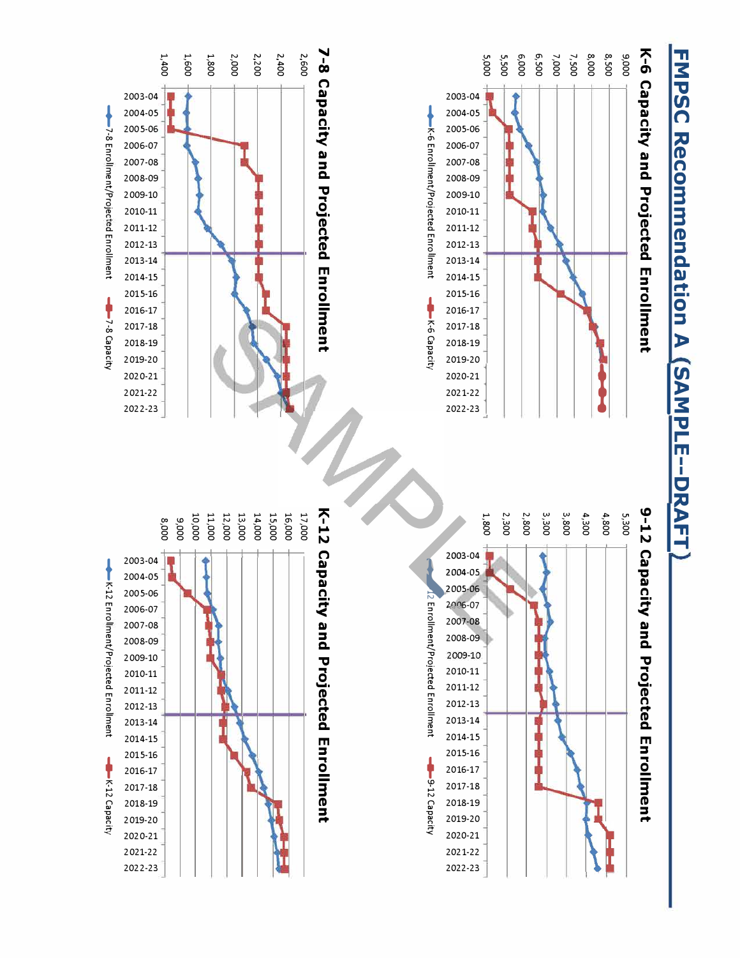# **FMPSC Recommendation A (SAMPLE--DRAFT**

## K-6 Capacity and Projected Enrollment



**A-6 Capacity** 

## **7-8 Capacity and Projected Encomment** 1,800 2,000 2,200  $2,400$ 2,600



## 9-12 Capacity and Projected Enrollment



## K-12 Capacity and Projected mrollment

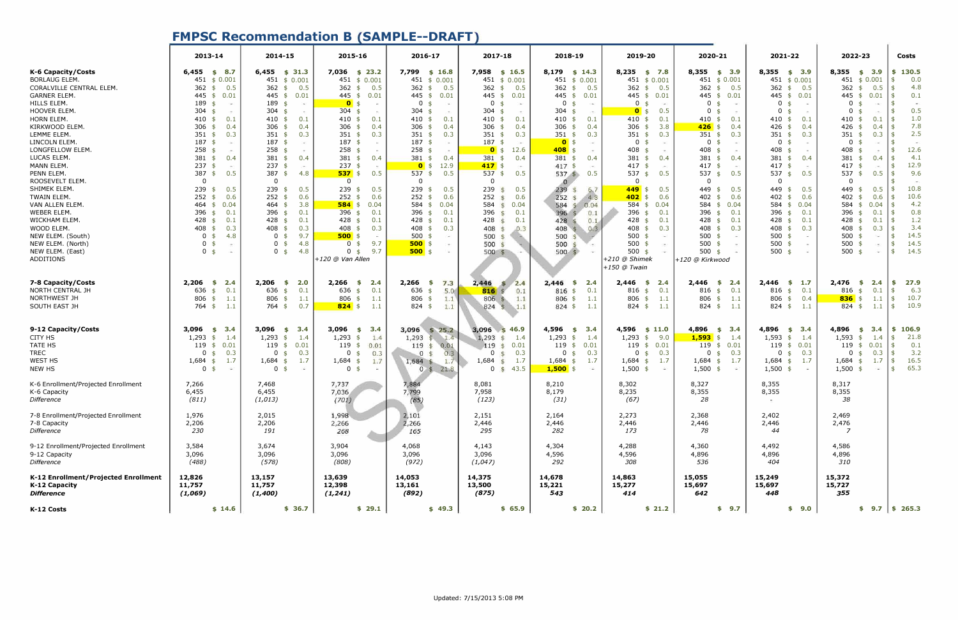### **FMPSC Recommendation B (SAMPLE--DRAFT)**

|                                                       | 2013-14                     | 2014-15                  | 2015-16                       | 2016-17                               | 2017-18                                    | 2018-19                      | 2019-20                       | 2020-21                        | 2021-22                    | 2022-23                         | Costs               |
|-------------------------------------------------------|-----------------------------|--------------------------|-------------------------------|---------------------------------------|--------------------------------------------|------------------------------|-------------------------------|--------------------------------|----------------------------|---------------------------------|---------------------|
| K-6 Capacity/Costs                                    | $6,455$ \$ 8.7              | $6,455$ \$ 31.3          | 7,036 \$ 23.2                 | 7,799 \$ 16.8                         | 7,958 \$ 16.5                              | $8,179$ \$ 14.3              | $8,235$ \$ 7.8                | $8,355$ \$ 3.9                 | $8,355$ \$ 3.9             | $8,355$ \$ 3.9                  | \$130.5             |
| <b>BORLAUG ELEM.</b>                                  | 451 \$ 0.001                | 451 \$ 0.001             | 451 \$ 0.001                  | 451 \$ 0.001                          | 451 \$ 0.001                               | 451 \$ 0.001                 | 451 \$ 0.001                  | 451 \$ 0.001                   | 451 \$ 0.001               | 451 \$ 0.001                    | 0.0                 |
| CORALVILLE CENTRAL ELEM.                              | 362<br>0.5<br>\$            | 362 $$$<br>0.5           | 362<br>0.5<br>\$              | 362<br>0.5<br>\$                      | 362<br>0.5<br>$\frac{1}{2}$                | 362<br>0.5<br>\$             | 362 \$<br>0.5                 | 362 $$$<br>0.5                 | 362 $$$<br>0.5             | 362<br>0.5<br>\$                | 4.8<br> \$          |
| <b>GARNER ELEM.</b>                                   | 445 \$ 0.01                 | 445 \$ 0.01              | 445 \$ 0.01                   | 445 \$ 0.01                           | 445 \$<br>0.01                             | 445<br>0.01<br>$\mathsf{s}$  | 445 \$<br>0.01                | 445 \$<br>0.01                 | 445 \$ 0.01                | 445<br>0.01<br>\$               | 0.1<br>- \$         |
| HILLS ELEM.                                           | 189 \$<br>$\sim$            | 189 \$<br>CAN            | $0 \text{ s}$<br>$\sim$       | $\mathbf 0$<br>- \$<br>CH.            | 0<br>- \$<br>$\sim$                        | 0<br>- \$<br>140             | 0 <sup>5</sup><br>$\sim$      | 0 <sup>5</sup><br>$\sim$       | 0<br>- \$                  | 0<br>$\sim$                     |                     |
| HOOVER ELEM                                           | 304<br>\$<br>$\sim$         | 304<br>\$<br>per.        | 304<br>$\sim$                 | 304<br>$\sim$                         | 304<br>- \$<br>$\sim$                      | 304<br>- \$<br>$\sim$        | $0 \sqrt{3}$<br>0.5           | $\mathbf{0}$<br>-\$<br>$\sim$  | $\mathbf{0}$<br>- \$       | $\Omega$                        | 0.5                 |
| <b>HORN ELEM</b>                                      | 410<br>0.1<br>\$            | 410 \$<br>0.1            | 410<br>0.1<br>\$              | 410<br>0.1<br>- \$                    | 410<br>0.1<br>- \$                         | 410<br>0.1<br>- \$           | $410*$<br>0.1                 | $410$ \$<br>0.1                | 410<br>0.1<br>\$           | 410<br>0.1                      | 1.0                 |
| KIRKWOOD ELEM.                                        | 306 \$<br>0.4               | 306 $$$<br>0.4           | 306<br>0.4<br>- \$            | 306<br>0.4<br>\$                      | 306<br>0.4<br>- \$                         | 306<br>0.4<br>- \$           | 306 \$<br>3.8                 | $426$ \$<br>0.4                | 426 $$$<br>0.4             | 426<br>0.4<br>- \$              | 7.8<br>- \$         |
| LEMME ELEM                                            | $351$ \$<br>0.3             | $351$ \$<br>0.3          | 351<br>0.3<br>- \$            | 351<br>0.3<br>- \$                    | $351$ \$<br>0.3                            | 351<br>0.3<br>- \$           | $351$ \$<br>0.3               | $351$ \$<br>0.3                | 351<br>0.3<br>\$           | 351<br>0.3                      | 2.5<br>5            |
| LINCOLN ELEM.                                         | 187<br>\$<br>(46)           | $187 \text{ }$ \$<br>140 | 187<br>-\$<br>$\sim$          | 187<br>-\$<br>CM.                     | 187<br>-\$<br>$\left( \frac{1}{2} \right)$ | 0 <sup>5</sup><br>i an       | $\mathbf 0$<br>-\$<br>143     | $\mathbf 0$<br>- \$<br>$\sim$  | $\mathbf{0}$<br>- \$       | $\mathbf 0$                     |                     |
| LONGFELLOW ELEM.                                      | $258$ \$<br>ò.              | $258$ \$<br>in.          | 258<br>-\$                    | 258<br>-\$                            | 12.6<br>$0 \text{ }$ \$                    | $408$ \$                     | 408<br>-\$<br>$\sim$          | 408<br>-\$<br>$\sim$           | 408<br>-\$                 | 408                             | 12.6                |
| LUCAS ELEM                                            | 381<br>0.4<br>\$            | $381$ \$<br>0.4          | 381<br>0.4<br>-\$             | 381<br>0.4<br>- \$                    | 381<br>0.4<br>$\mathsf{s}$                 | 381<br>0.4<br>$\mathsf{s}$   | 381<br>0.4<br>- \$            | 381<br>0.4<br>\$               | 381<br>0.4<br>\$           | 381<br>0.4                      | 4.1                 |
| MANN ELEM.                                            | 237<br>-\$<br>$\rightarrow$ | $237$ \$<br>Card         | 237                           | $0 \sqrt{3}$<br>12.9                  | $417$ \$<br>$\sim$                         | 417<br>o.                    | 417<br>-\$<br>$\rightarrow$   | 417<br>- \$<br>$\rightarrow$   | 417<br>- \$                | 417                             | 12.9                |
| PENN ELEM.                                            | 387 $$$<br>0.5              | 387 \$<br>4.8            | $537$ \$<br>0.5               | 537<br>0.5<br>$\sqrt{5}$              | 537<br>0.5<br>$\frac{1}{2}$                | $537$ \$<br>0.5              | 537 \$<br>0.5                 | 537 $$$<br>0.5                 | 537<br>0.5<br>\$           | 537<br>0.5<br>$\mathbf{F}$      | 9.6                 |
| ROOSEVELT ELEM.                                       | $\overline{0}$              | $\mathbf 0$              | $\mathbf{0}$                  | $\mathbf{0}$                          | $\mathbf{0}$                               | $\Omega$                     | $\overline{0}$                | $\Omega$                       | $\Omega$                   | $\mathbf 0$                     |                     |
| SHIMEK ELEM.                                          | 239<br>0.5<br>\$            | 239<br>0.5<br>\$         | 239<br>0.5<br>\$              | 239<br>0.5<br>\$                      | 239<br>0.5<br>$\mathsf{S}$                 | 239<br>6, 7                  | 449<br>0.5<br>\$              | 449<br>0.5<br>\$               | 0.5<br>449<br>-\$          | 449<br>0.5                      | 10.8                |
| TWAIN ELEM.                                           | $252$ \$<br>0.6             | $252$ \$<br>0.6          | $252 +$<br>0.6                | 252<br>0.6<br>- \$                    | 252<br>0.6<br>S                            | 252<br>4.8<br>$\mathcal{L}$  | 402<br>0.6<br>$\mathsf{\$}$   | 0.6<br>402<br>-\$              | 402<br>0.6<br>-\$          | 402<br>0.6                      | 10.6<br>- \$        |
| VAN ALLEN ELEM.                                       | 464<br>0.04<br>\$           | $464$ \$<br>3.8          | $584$ \$<br>0.04              | 584<br>0.04<br>\$                     | 584<br>0.04<br>$\frac{4}{3}$               | 584<br>0.04<br>$\mathcal{F}$ | $584$ \$<br>0.04              | 584<br>0.04<br>\$              | 584<br>0.04<br>\$          | 584<br>0.04                     | 4.2<br>5            |
| WEBER ELEM.                                           | 396<br>0.1                  | 396 \$<br>0.1            | 396<br>0.1<br>\$              | 396<br>0.1<br>- \$                    | 396<br>0.1<br>$\mathbf{S}$                 | 396<br>0.1                   | 396 \$<br>0.1                 | 396<br>0.1<br>\$               | 396<br>0.1                 | 396<br>0.1                      | 0.8                 |
| WICKHAM ELEM.                                         | \$<br>0.1<br>428 \$         | 428 \$<br>0.1            | 428<br>0.1<br>\$              | 428<br>0.1                            | 428<br>0.1<br>$\mathfrak{S}$               | 428<br>0.1                   | 428 \$<br>0.1                 | $428$ \$<br>0.1                | - \$<br>428<br>0.1         | 428<br>0.1                      | 1.2<br>- \$         |
| WOOD ELEM.                                            |                             | 408 \$                   | 408                           | - \$<br>408<br>0.3                    | 408                                        |                              | 408<br>0.3                    | 408<br>0.3                     | \$<br>408                  | 408                             | 3.4                 |
| NEW ELEM. (South)                                     | 408<br>0.3<br>\$<br>4.8     | 0.3                      | 0.3<br>$\mathbf{s}$<br>$\sim$ | - \$<br>CAS.                          | 0.3<br>$\mathcal{S}$<br>500                | 408<br>0.3                   | - \$<br>500 \$<br>34          | $\frac{1}{2}$<br>500<br>$\sim$ | 0.3<br>\$<br>500           | 0.3<br>500                      | 14.5                |
|                                                       | 0 <sup>5</sup>              | 9.7<br>0 <sup>5</sup>    | $500$ \$                      | 500<br>- \$                           | S                                          | 500                          |                               | -\$                            | - \$                       |                                 | 14.5                |
| NEW ELEM. (North)                                     | 0 <sup>5</sup>              | 4.8<br>$0 \text{ }$      | 9.7<br>0 <sub>5</sub>         | $500$ \$                              | 500<br>$\mathcal{S}$                       | 500                          | 500 \$                        | $500$ \$                       | 500<br>\$                  | 500<br>-\$                      |                     |
| NEW ELEM. (East)                                      | $0 \quad$ \$<br>$\sim$      | 4.8<br>0 <sup>5</sup>    | 9.7<br>0 <sup>5</sup>         | $500$ \$                              | $500$ \$                                   | $500 \text{ }$               | 500 \$                        | 500 $$$                        | $500$ \$                   | 500<br>$\sim$                   | 14.5<br>- \$        |
| ADDITIONS                                             |                             |                          | +120 @ Van Allen              |                                       |                                            |                              | +210 @ Shimek<br>+150 @ Twain | +120 @ Kirkwood                |                            |                                 |                     |
| 7-8 Capacity/Costs                                    | 2,206<br>2.4<br>- \$        | 2,206<br>2.0<br>\$       | 2,266<br>2.4<br>\$            | 2,266<br>7.3<br>- \$                  | 2,446<br>2.4<br>S                          | 2,446<br>2.4<br>- \$         | $2,446$ \$ 2.4                | $2,446$ \$<br>2.4              | 2,446<br>$\frac{1}{2}$ 1.7 | 2,476<br>2.4<br>- \$            | 27.9<br>\$.         |
| NORTH CENTRAL JH                                      | 636 \$<br>0.1               | 0.1<br>636 \$            | 0.1<br>636<br>\$              | 5.0<br>636 \$                         | 816<br>0.1                                 | 816<br>0.1<br>\$             | 816 \$<br>0.1                 | 0.1<br>816 \$                  | 816<br>0.1<br>\$           | 816<br>0.1<br>\$                | 6.3                 |
| NORTHWEST JH                                          | 806<br>1.1<br>\$            | 806 \$<br>1.1            | 806<br>1.1<br>$\mathsf{s}$    | 806<br>$\ddot{\mathbf{f}}$<br>1.1     | 806<br>1.1<br>19.                          | 806<br>1.1<br>\$             | 806 \$<br>1.1                 | 806 \$<br>1.1                  | 806<br>0.4<br>\$           | $836$ \$<br>1.1                 | 10.7<br>- \$        |
| SOUTH EAST JH                                         | 764 \$<br>1.1               | 0.7<br>764\$             | $824$ \$<br>1.1               | $824$ \$<br>1.1                       | 824 \$ 1.1                                 | $824$ \$<br>1.1              | $824$ \$<br>1.1               | $824$ \$<br>1.1                | $824$ \$<br>- 1.1          | $824$ \$<br>1.1                 | 10.9<br>$$^{\circ}$ |
|                                                       |                             |                          |                               |                                       |                                            |                              |                               |                                |                            |                                 |                     |
| 9-12 Capacity/Costs                                   | 3,096<br>\$3.4              | $3,096$ \$ 3.4           | 3,096 $$3.4$                  | 3,096 \$ 25.2                         | $3,096$ \$ 46.9                            | 4,596<br>3.4<br>\$           | $4,596$ \$ 11.0               | $4,896$ \$ 3.4                 | $4,896$ \$ 3.4             | $4,896$ \$<br>3.4               | \$106.9             |
| CITY HS                                               | $1,293$ \$<br>1.4           | $1,293$ \$<br>1.4        | 1.4<br>1,293<br>$\frac{1}{2}$ | 1,293<br>\$1.4                        | 1,293<br>1.4<br>乐                          | $1,293$ \$<br>1.4            | 9.0<br>$1,293$ \$             | $1,593$ \$<br>1.4              | $1,593$ \$<br>1.4          | 1,593<br>1.4<br>\$              | 21.8<br>\$          |
| TATE HS                                               | \$0.01<br>119               | 119 \$ 0.01              | 119<br>0.01<br>\$             | 119<br>0.01<br>$\mathfrak{S}$         | 119<br>0.01<br>$\mathsf{S}$                | 119<br>0.01<br>\$            | $119*$<br>0.01                | 0.01<br>119 \$                 | 119 \$ 0.01                | 119<br>0.01<br>\$               | 0.1<br>- \$         |
| TREC                                                  | $0 \;$ \$<br>0.3            | $0 \;$ \$<br>0.3         | $\mathbf 0$<br>0.3<br>\$      | 0.3<br>$\overline{0}$                 | 0.3<br>$\Omega$<br>$\mathsf{S}$            | 0.3<br>$\mathbf 0$<br>\$     | $0 \frac{4}{3}$<br>0.3        | $0 \text{ }$<br>0.3            | 0 <sup>5</sup><br>0.3      | $\mathbf 0$<br>0.3<br>\$        | 3.2<br>\$           |
| WEST HS                                               | 1.7<br>$1,684$ \$           | 1.7<br>$1,684$ \$        | 1,684<br>1.7<br>\$            | $1,684$ \$<br>1.7                     | 1,684<br>1.7<br>$\mathcal{S}$              | $1,684$ \$<br>1.7            | $1,684$ \$<br>1.7             | $1,684$ \$<br>1.7              | 1.7<br>$1,684$ \$          | $1,684$ \$<br>1.7               | 16.5<br>$\sqrt{5}$  |
| NEW HS                                                | 0 <sup>5</sup><br>$\sim$    | 0 <sup>5</sup><br>$\sim$ | 0 <sup>5</sup><br>i.          | $\mathbf{0}$<br>$\mathcal{S}$<br>21.8 | 43.5<br>0 <sup>5</sup>                     | $1,500$ \$<br>$\sim$         | $1,500$ \$<br>$\sim$          | $1,500$ \$<br>$\sim$           | $1,500$ \$<br>$\sim$       | 1,500<br>- \$<br>$\sim 10^{-1}$ | 65.3<br>- \$        |
| K-6 Enrollment/Projected Enrollment                   | 7,266                       | 7,468                    | 7,737                         | 7,884                                 | 8,081                                      | 8,210                        | 8,302                         | 8,327                          | 8,355                      | 8,317                           |                     |
| K-6 Capacity                                          | 6,455                       | 6,455                    | 7,036                         | 7,799                                 | 7,958                                      | 8,179                        | 8,235                         | 8,355                          | 8,355                      | 8,355                           |                     |
| Difference                                            | (811)                       | (1,013)                  | (701)                         |                                       | (123)                                      | (31)                         | (67)                          | 28                             |                            | 38                              |                     |
|                                                       |                             |                          |                               | (85)                                  |                                            |                              |                               |                                |                            |                                 |                     |
| 7-8 Enrollment/Projected Enrollment                   | 1,976                       | 2,015                    | 1,998                         | 2,101                                 | 2,151                                      | 2,164                        | 2,273                         | 2,368                          | 2,402                      | 2,469                           |                     |
| 7-8 Capacity                                          | 2,206                       | 2,206                    | 2,266                         | 2,266                                 | 2,446                                      | 2,446                        | 2,446                         | 2,446                          | 2,446                      | 2,476                           |                     |
| Difference                                            | 230                         | 191                      | 268                           | 165                                   | 295                                        | 282                          | 173                           | 78                             | 44                         | $\overline{7}$                  |                     |
|                                                       |                             |                          |                               |                                       |                                            |                              |                               |                                |                            |                                 |                     |
| 9-12 Enrollment/Projected Enrollment                  |                             | 3,674                    | 3,904                         | 4,068                                 | 4,143                                      |                              | 4,288                         |                                | 4,492                      |                                 |                     |
|                                                       | 3,584<br>3,096              |                          |                               |                                       | 3,096                                      | 4,304                        |                               | 4,360                          |                            | 4,586                           |                     |
| 9-12 Capacity                                         |                             | 3,096                    | 3,096                         | 3,096                                 |                                            | 4,596                        | 4,596                         | 4,896                          | 4,896                      | 4,896                           |                     |
| Difference                                            | (488)                       | (578)                    | (808)                         | (972)                                 | (1,047)                                    | 292                          | 308                           | 536                            | 404                        | 310                             |                     |
| K-12 Enrollment/Projected Enrollment<br>K-12 Capacity | 12,826<br>11,757            | 13,157<br>11,757         | 13,639<br>12,398              | 14,053<br>13,161                      | 14,375<br>13,500                           | 14,678<br>15,221             | 14,863<br>15,277              | 15,055<br>15,697               | 15,249<br>15,697           | 15,372<br>15,727                |                     |
| <b>Difference</b>                                     | (1,069)                     | (1,400)                  | (1, 241)                      | (892)                                 | (875)                                      | 543                          | 414                           | 642                            | 448                        | 355                             |                     |
| K-12 Costs                                            | \$14.6                      | \$36.7                   | \$29.1                        | \$49.3                                | \$65.9                                     | \$20.2                       | \$21.2                        | \$9.7                          | \$9.0                      |                                 | $$9.7$ $$265.3$     |